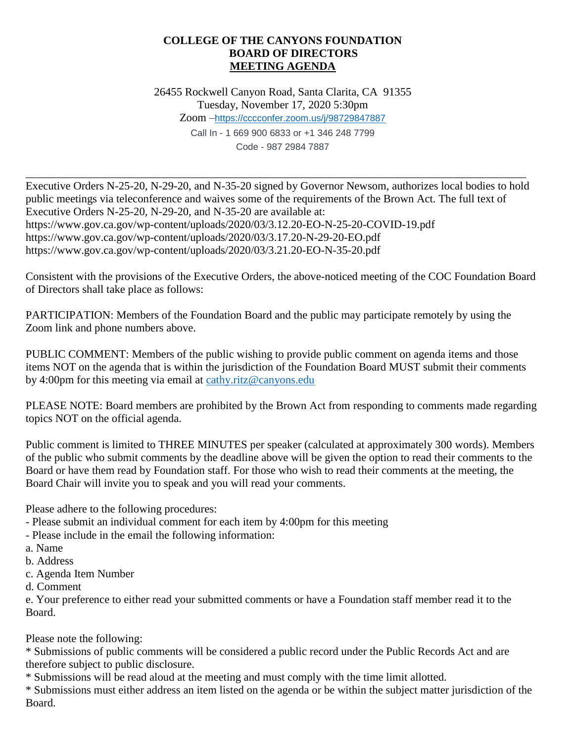## **COLLEGE OF THE CANYONS FOUNDATION BOARD OF DIRECTORS MEETING AGENDA**

26455 Rockwell Canyon Road, Santa Clarita, CA 91355 Tuesday, November 17, 2020 5:30pm Zoom –<https://cccconfer.zoom.us/j/98729847887> Call In - 1 669 900 6833 or +1 346 248 7799 Code - 987 2984 7887

Executive Orders N-25-20, N-29-20, and N-35-20 signed by Governor Newsom, authorizes local bodies to hold public meetings via teleconference and waives some of the requirements of the Brown Act. The full text of Executive Orders N-25-20, N-29-20, and N-35-20 are available at: https://www.gov.ca.gov/wp-content/uploads/2020/03/3.12.20-EO-N-25-20-COVID-19.pdf https://www.gov.ca.gov/wp-content/uploads/2020/03/3.17.20-N-29-20-EO.pdf https://www.gov.ca.gov/wp-content/uploads/2020/03/3.21.20-EO-N-35-20.pdf

\_\_\_\_\_\_\_\_\_\_\_\_\_\_\_\_\_\_\_\_\_\_\_\_\_\_\_\_\_\_\_\_\_\_\_\_\_\_\_\_\_\_\_\_\_\_\_\_\_\_\_\_\_\_\_\_\_\_\_\_\_\_\_\_\_\_\_\_\_\_\_\_\_\_\_\_\_\_\_\_\_\_\_\_\_\_\_\_\_

Consistent with the provisions of the Executive Orders, the above-noticed meeting of the COC Foundation Board of Directors shall take place as follows:

PARTICIPATION: Members of the Foundation Board and the public may participate remotely by using the Zoom link and phone numbers above.

PUBLIC COMMENT: Members of the public wishing to provide public comment on agenda items and those items NOT on the agenda that is within the jurisdiction of the Foundation Board MUST submit their comments by 4:00pm for this meeting via email at [cathy.ritz@canyons.edu](mailto:cathy.ritz@canyons.edu)

PLEASE NOTE: Board members are prohibited by the Brown Act from responding to comments made regarding topics NOT on the official agenda.

Public comment is limited to THREE MINUTES per speaker (calculated at approximately 300 words). Members of the public who submit comments by the deadline above will be given the option to read their comments to the Board or have them read by Foundation staff. For those who wish to read their comments at the meeting, the Board Chair will invite you to speak and you will read your comments.

Please adhere to the following procedures:

- Please submit an individual comment for each item by 4:00pm for this meeting
- Please include in the email the following information:
- a. Name
- b. Address
- c. Agenda Item Number
- d. Comment

e. Your preference to either read your submitted comments or have a Foundation staff member read it to the Board.

Please note the following:

\* Submissions of public comments will be considered a public record under the Public Records Act and are therefore subject to public disclosure.

\* Submissions will be read aloud at the meeting and must comply with the time limit allotted.

\* Submissions must either address an item listed on the agenda or be within the subject matter jurisdiction of the Board.